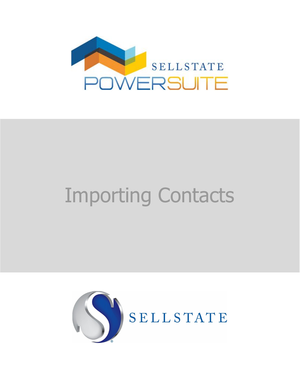

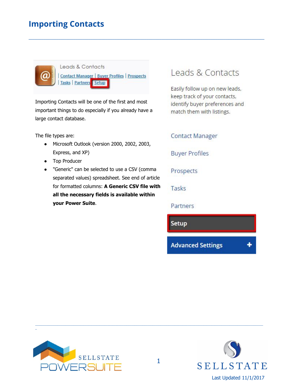

Leads & Contacts **Contact Manager | Buyer Profiles | Prospects Tasks** Partners Setup

**\_\_\_\_\_\_\_\_\_\_\_\_\_\_\_\_\_\_\_\_\_\_\_\_\_\_\_\_\_\_\_\_\_\_\_\_\_\_\_\_\_\_\_\_\_\_\_\_\_\_\_\_\_\_\_\_\_\_\_\_\_\_\_\_\_\_\_\_\_\_\_\_\_\_\_\_\_\_\_\_\_\_\_\_\_\_\_\_\_\_\_\_\_\_\_\_\_\_\_\_\_\_\_\_\_\_\_\_\_\_\_\_\_\_\_\_\_\_\_\_\_\_\_\_\_\_**

Importing Contacts will be one of the first and most important things to do especially if you already have a large contact database.

The file types are:

- Microsoft Outlook (version 2000, 2002, 2003, Express, and XP)
- Top Producer
- "Generic" can be selected to use a CSV (comma separated values) spreadsheet. See end of article for formatted columns: **A Generic CSV file with all the necessary fields is available within your Power Suite**.

### Leads & Contacts

Easily follow up on new leads, keep track of your contacts, identify buyer preferences and match them with listings.

**Contact Manager** 

**Buyer Profiles** 

Prospects

Tasks

Partners

Setup

**Advanced Settings** 



\_



\_\_\_\_\_\_\_\_\_\_\_\_\_\_\_\_\_\_\_\_\_\_\_\_\_\_\_\_\_\_\_\_\_\_\_\_\_\_\_\_\_\_\_\_\_\_\_\_\_\_\_\_\_\_\_\_\_\_\_\_\_\_\_\_\_\_\_\_\_\_\_\_\_\_\_\_\_\_\_\_\_\_\_\_\_\_\_\_\_\_\_\_\_\_\_\_\_\_\_\_\_\_\_\_\_\_\_\_\_\_\_\_\_\_\_\_\_\_\_\_\_\_\_\_\_\_\_\_\_\_\_\_\_\_\_\_\_\_\_\_\_\_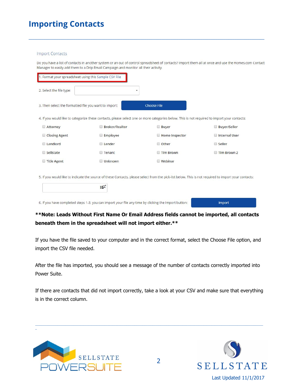#### **Import Contacts**

Do you have a list of contacts in another system or an out of control spreadsheet of contacts? Import them all at once and use the Homes.com Contact Manager to easily add them to a Drip Email Campaign and monitor all their activity.

**\_\_\_\_\_\_\_\_\_\_\_\_\_\_\_\_\_\_\_\_\_\_\_\_\_\_\_\_\_\_\_\_\_\_\_\_\_\_\_\_\_\_\_\_\_\_\_\_\_\_\_\_\_\_\_\_\_\_\_\_\_\_\_\_\_\_\_\_\_\_\_\_\_\_\_\_\_\_\_\_\_\_\_\_\_\_\_\_\_\_\_\_\_\_\_\_\_\_\_\_\_\_\_\_\_\_\_\_\_\_\_\_\_\_\_\_\_\_\_\_\_\_\_\_\_\_**

| 1. Format your spreadsheet using this Sample CSV File |                       |                                                                                                                                                      |                     |
|-------------------------------------------------------|-----------------------|------------------------------------------------------------------------------------------------------------------------------------------------------|---------------------|
| 2. Select the file type:                              | ۰                     |                                                                                                                                                      |                     |
| 3. Then select the formatted file you want to import: |                       | <b>Choose File</b>                                                                                                                                   |                     |
|                                                       |                       | 4. If you would like to categorize these contacts, please select one or more categories below. This is not required to import your contacts:         |                     |
| <b>Attorney</b>                                       | <b>Broker/Realtor</b> | <b>Buyer</b>                                                                                                                                         | <b>Buyer/Seller</b> |
| Closing Agent                                         | <b>Employee</b>       | Home Inspector                                                                                                                                       | Internal User       |
| Landlord                                              | Lender                | O Other                                                                                                                                              | Seller              |
| Sellstate                                             | Tenant                | <b>Tim Brown</b>                                                                                                                                     | Tim Brown 2         |
| Title Agent                                           | Unknown               | $\Box$ Webinar                                                                                                                                       |                     |
|                                                       | <b>EQ*</b>            | 5. If you would like to indicate the source of these Contacts, please select from the pick-list below. This is not required to import your contacts: |                     |

6. If you have completed steps 1-3, you can import your file any time by clicking the Import button:

**Import** 

#### **\*\*Note: Leads Without First Name Or Email Address fields cannot be imported, all contacts beneath them in the spreadsheet will not import either.\*\***

If you have the file saved to your computer and in the correct format, select the Choose File option, and import the CSV file needed.

After the file has imported, you should see a message of the number of contacts correctly imported into Power Suite.

If there are contacts that did not import correctly, take a look at your CSV and make sure that everything is in the correct column.

\_\_\_\_\_\_\_\_\_\_\_\_\_\_\_\_\_\_\_\_\_\_\_\_\_\_\_\_\_\_\_\_\_\_\_\_\_\_\_\_\_\_\_\_\_\_\_\_\_\_\_\_\_\_\_\_\_\_\_\_\_\_\_\_\_\_\_\_\_\_\_\_\_\_\_\_\_\_\_\_\_\_\_\_\_\_\_\_\_\_\_\_\_\_\_\_\_\_\_\_\_\_\_\_\_\_\_\_\_\_\_\_\_\_\_\_\_\_\_\_\_\_\_\_\_\_\_\_\_\_\_\_\_\_\_\_\_\_\_\_\_\_



\_